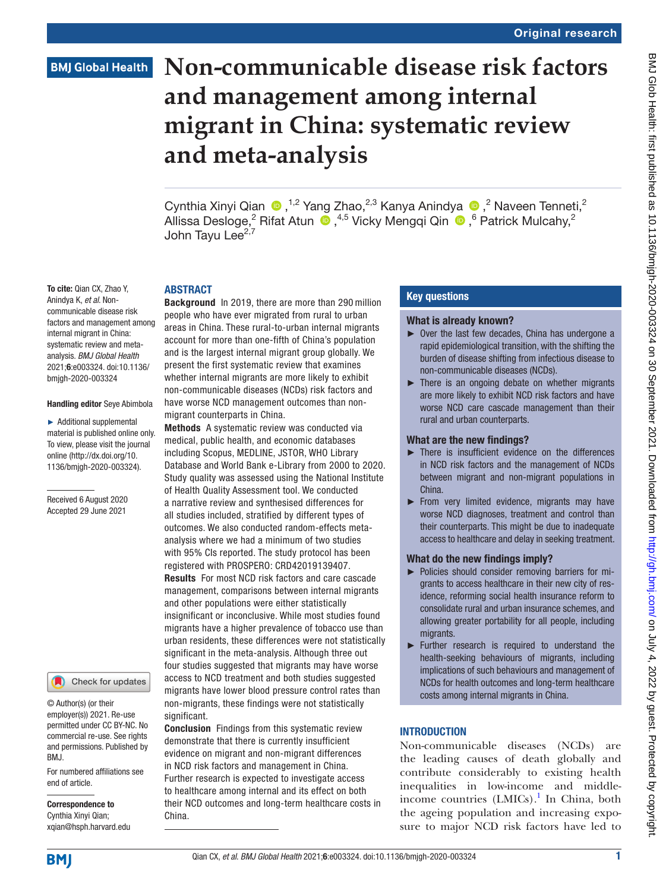# **BMJ Global Health**

# **Non-communicable disease risk factors and management among internal migrant in China: systematic review and meta-analysis**

CynthiaXinyi Qian (D, <sup>1,2</sup> Yang Zhao,<sup>2,3</sup> Kanya Anindya (D, <sup>2</sup> Naveen Tenneti,<sup>2</sup> Allissa Desloge,<sup>2</sup> Rifat Atun (D, <sup>4,5</sup> Vicky Mengqi Qin (D, <sup>6</sup> Patrick Mulcahy,<sup>2</sup> John Tavu Lee $^{2,7}$ 

#### ABSTRACT

Background In 2019, there are more than 290 million people who have ever migrated from rural to urban areas in China. These rural-to-urban internal migrants account for more than one-fifth of China's population and is the largest internal migrant group globally. We present the first systematic review that examines whether internal migrants are more likely to exhibit non-communicable diseases (NCDs) risk factors and have worse NCD management outcomes than nonmigrant counterparts in China.

Methods A systematic review was conducted via medical, public health, and economic databases including Scopus, MEDLINE, JSTOR, WHO Library Database and World Bank e-Library from 2000 to 2020. Study quality was assessed using the National Institute of Health Quality Assessment tool. We conducted a narrative review and synthesised differences for all studies included, stratified by different types of outcomes. We also conducted random-effects metaanalysis where we had a minimum of two studies with 95% CIs reported. The study protocol has been registered with PROSPERO: CRD42019139407. Results For most NCD risk factors and care cascade management, comparisons between internal migrants and other populations were either statistically insignificant or inconclusive. While most studies found migrants have a higher prevalence of tobacco use than urban residents, these differences were not statistically significant in the meta-analysis. Although three out four studies suggested that migrants may have worse access to NCD treatment and both studies suggested migrants have lower blood pressure control rates than non-migrants, these findings were not statistically significant.

Conclusion Findings from this systematic review demonstrate that there is currently insufficient evidence on migrant and non-migrant differences in NCD risk factors and management in China. Further research is expected to investigate access to healthcare among internal and its effect on both their NCD outcomes and long-term healthcare costs in China.

## Key questions

#### What is already known?

- ► Over the last few decades, China has undergone a rapid epidemiological transition, with the shifting the burden of disease shifting from infectious disease to non-communicable diseases (NCDs).
- $\blacktriangleright$  There is an ongoing debate on whether migrants are more likely to exhibit NCD risk factors and have worse NCD care cascade management than their rural and urban counterparts.

## What are the new findings?

- ► There is insufficient evidence on the differences in NCD risk factors and the management of NCDs between migrant and non-migrant populations in China.
- ► From very limited evidence, migrants may have worse NCD diagnoses, treatment and control than their counterparts. This might be due to inadequate access to healthcare and delay in seeking treatment.

#### What do the new findings imply?

- ► Policies should consider removing barriers for migrants to access healthcare in their new city of residence, reforming social health insurance reform to consolidate rural and urban insurance schemes, and allowing greater portability for all people, including migrants.
- ► Further research is required to understand the health-seeking behaviours of migrants, including implications of such behaviours and management of NCDs for health outcomes and long-term healthcare costs among internal migrants in China.

# **INTRODUCTION**

Non-communicable diseases (NCDs) are the leading causes of death globally and contribute considerably to existing health inequalities in low-income and middleincome countries (LMICs).<sup>1</sup> In China, both the ageing population and increasing exposure to major NCD risk factors have led to

To cite: Qian CX, Zhao Y, Anindya K, *et al*. Noncommunicable disease risk factors and management among internal migrant in China: systematic review and metaanalysis. *BMJ Global Health* 2021;6:e003324. doi:10.1136/ bmjgh-2020-003324

#### Handling editor Seye Abimbola

► Additional supplemental material is published online only. To view, please visit the journal online ([http://dx.doi.org/10.](http://dx.doi.org/10.1136/bmjgh-2020-003324) [1136/bmjgh-2020-003324](http://dx.doi.org/10.1136/bmjgh-2020-003324)).

Received 6 August 2020 Accepted 29 June 2021



© Author(s) (or their employer(s)) 2021. Re-use permitted under CC BY-NC. No commercial re-use. See rights and permissions. Published by BMJ.

For numbered affiliations see end of article.

Correspondence to Cynthia Xinyi Qian; xqian@hsph.harvard.edu

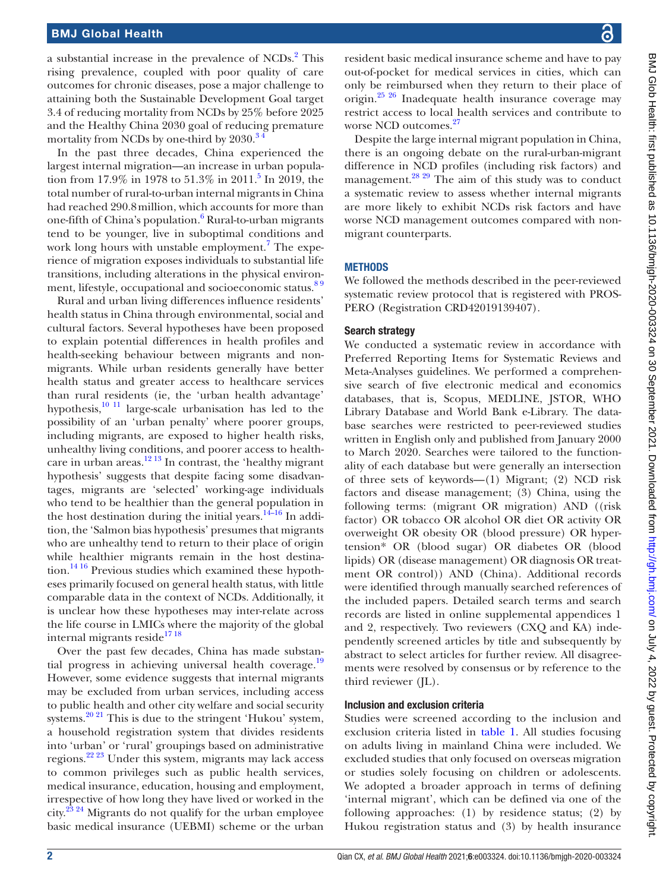## BMJ Global Health

a substantial increase in the prevalence of NCDs.<sup>2</sup> This rising prevalence, coupled with poor quality of care outcomes for chronic diseases, pose a major challenge to attaining both the Sustainable Development Goal target 3.4 of reducing mortality from NCDs by 25% before 2025 and the Healthy China 2030 goal of reducing premature mortality from NCDs by one-third by 2030.<sup>34</sup>

In the past three decades, China experienced the largest internal migration—an increase in urban population from 17.9% in 1978 to 51.3% in 2011.<sup>5</sup> In 2019, the total number of rural-to-urban internal migrants in China had reached 290.8million, which accounts for more than one-fifth of China's population.<sup>6</sup> Rural-to-urban migrants tend to be younger, live in suboptimal conditions and work long hours with unstable employment.<sup>[7](#page-9-5)</sup> The experience of migration exposes individuals to substantial life transitions, including alterations in the physical environment, lifestyle, occupational and socioeconomic status.<sup>89</sup>

Rural and urban living differences influence residents' health status in China through environmental, social and cultural factors. Several hypotheses have been proposed to explain potential differences in health profiles and health-seeking behaviour between migrants and nonmigrants. While urban residents generally have better health status and greater access to healthcare services than rural residents (ie, the 'urban health advantage' hypothesis, $\frac{10 \text{ } 11}{11}$  large-scale urbanisation has led to the possibility of an 'urban penalty' where poorer groups, including migrants, are exposed to higher health risks, unhealthy living conditions, and poorer access to healthcare in urban areas.<sup>12 13</sup> In contrast, the 'healthy migrant' hypothesis' suggests that despite facing some disadvantages, migrants are 'selected' working-age individuals who tend to be healthier than the general population in the host destination during the initial years. $14-16$  In addition, the 'Salmon bias hypothesis' presumes that migrants who are unhealthy tend to return to their place of origin while healthier migrants remain in the host destina-tion.<sup>[14 16](#page-9-9)</sup> Previous studies which examined these hypotheses primarily focused on general health status, with little comparable data in the context of NCDs. Additionally, it is unclear how these hypotheses may inter-relate across the life course in LMICs where the majority of the global internal migrants reside $^{17\,18}$ 

Over the past few decades, China has made substan-tial progress in achieving universal health coverage.<sup>[19](#page-9-11)</sup> However, some evidence suggests that internal migrants may be excluded from urban services, including access to public health and other city welfare and social security systems.<sup>[20 21](#page-9-12)</sup> This is due to the stringent 'Hukou' system, a household registration system that divides residents into 'urban' or 'rural' groupings based on administrative regions.[22 23](#page-9-13) Under this system, migrants may lack access to common privileges such as public health services, medical insurance, education, housing and employment, irrespective of how long they have lived or worked in the city.[23 24](#page-9-14) Migrants do not qualify for the urban employee basic medical insurance (UEBMI) scheme or the urban

resident basic medical insurance scheme and have to pay out-of-pocket for medical services in cities, which can only be reimbursed when they return to their place of origin.[25 26](#page-9-15) Inadequate health insurance coverage may restrict access to local health services and contribute to worse NCD outcomes.<sup>27</sup>

Despite the large internal migrant population in China, there is an ongoing debate on the rural-urban-migrant difference in NCD profiles (including risk factors) and management.<sup>28 29</sup> The aim of this study was to conduct a systematic review to assess whether internal migrants are more likely to exhibit NCDs risk factors and have worse NCD management outcomes compared with nonmigrant counterparts.

#### **METHODS**

We followed the methods described in the peer-reviewed systematic review protocol that is registered with PROS-PERO (Registration CRD42019139407).

#### Search strategy

We conducted a systematic review in accordance with Preferred Reporting Items for Systematic Reviews and Meta-Analyses guidelines. We performed a comprehensive search of five electronic medical and economics databases, that is, Scopus, MEDLINE, JSTOR, WHO Library Database and World Bank e-Library. The database searches were restricted to peer-reviewed studies written in English only and published from January 2000 to March 2020. Searches were tailored to the functionality of each database but were generally an intersection of three sets of keywords—(1) Migrant; (2) NCD risk factors and disease management; (3) China, using the following terms: (migrant OR migration) AND ((risk factor) OR tobacco OR alcohol OR diet OR activity OR overweight OR obesity OR (blood pressure) OR hypertension\* OR (blood sugar) OR diabetes OR (blood lipids) OR (disease management) OR diagnosis OR treatment OR control)) AND (China). Additional records were identified through manually searched references of the included papers. Detailed search terms and search records are listed in [online supplemental appendices 1](https://dx.doi.org/10.1136/bmjgh-2020-003324) [and 2](https://dx.doi.org/10.1136/bmjgh-2020-003324), respectively. Two reviewers (CXQ and KA) independently screened articles by title and subsequently by abstract to select articles for further review. All disagreements were resolved by consensus or by reference to the third reviewer (JL).

#### Inclusion and exclusion criteria

Studies were screened according to the inclusion and exclusion criteria listed in [table](#page-2-0) 1. All studies focusing on adults living in mainland China were included. We excluded studies that only focused on overseas migration or studies solely focusing on children or adolescents. We adopted a broader approach in terms of defining 'internal migrant', which can be defined via one of the following approaches: (1) by residence status; (2) by Hukou registration status and (3) by health insurance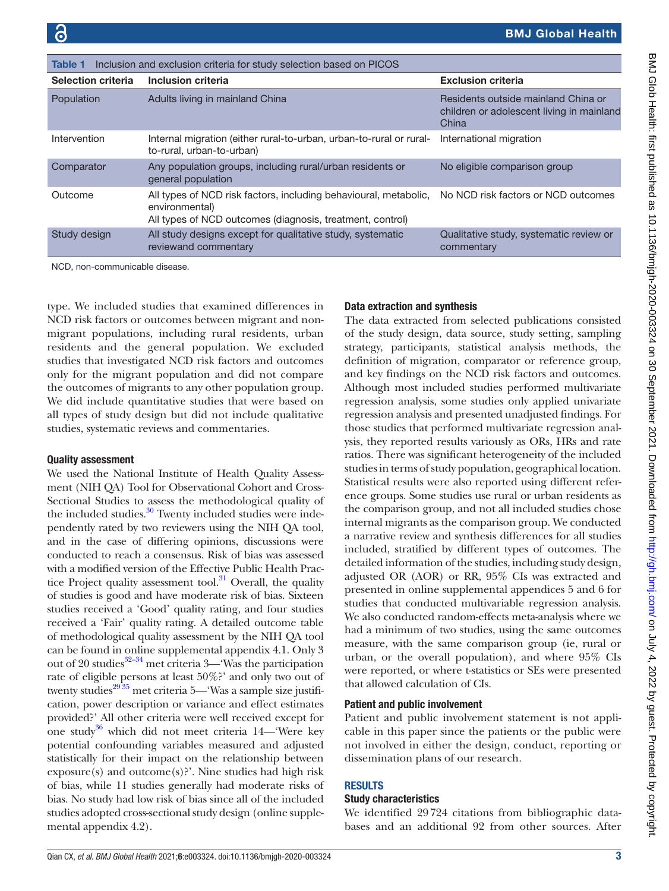<span id="page-2-0"></span>

| Inclusion and exclusion criteria for study selection based on PICOS<br><b>Table 1</b> |                                                                                                                                                 |                                                                                           |  |  |
|---------------------------------------------------------------------------------------|-------------------------------------------------------------------------------------------------------------------------------------------------|-------------------------------------------------------------------------------------------|--|--|
| <b>Selection criteria</b>                                                             | Inclusion criteria                                                                                                                              | <b>Exclusion criteria</b>                                                                 |  |  |
| Population                                                                            | Adults living in mainland China                                                                                                                 | Residents outside mainland China or<br>children or adolescent living in mainland<br>China |  |  |
| Intervention                                                                          | Internal migration (either rural-to-urban, urban-to-rural or rural-<br>to-rural, urban-to-urban)                                                | International migration                                                                   |  |  |
| Comparator                                                                            | Any population groups, including rural/urban residents or<br>general population                                                                 | No eligible comparison group                                                              |  |  |
| Outcome                                                                               | All types of NCD risk factors, including behavioural, metabolic,<br>environmental)<br>All types of NCD outcomes (diagnosis, treatment, control) | No NCD risk factors or NCD outcomes                                                       |  |  |
| Study design                                                                          | All study designs except for qualitative study, systematic<br>reviewand commentary                                                              | Qualitative study, systematic review or<br>commentary                                     |  |  |

NCD, non-communicable disease.

type. We included studies that examined differences in NCD risk factors or outcomes between migrant and nonmigrant populations, including rural residents, urban residents and the general population. We excluded studies that investigated NCD risk factors and outcomes only for the migrant population and did not compare the outcomes of migrants to any other population group. We did include quantitative studies that were based on all types of study design but did not include qualitative studies, systematic reviews and commentaries.

#### Quality assessment

We used the National Institute of Health Quality Assessment (NIH QA) Tool for Observational Cohort and Cross-Sectional Studies to assess the methodological quality of the included studies.<sup>30</sup> Twenty included studies were independently rated by two reviewers using the NIH QA tool, and in the case of differing opinions, discussions were conducted to reach a consensus. Risk of bias was assessed with a modified version of the Effective Public Health Practice Project quality assessment tool. $31$  Overall, the quality of studies is good and have moderate risk of bias. Sixteen studies received a 'Good' quality rating, and four studies received a 'Fair' quality rating. A detailed outcome table of methodological quality assessment by the NIH QA tool can be found in [online supplemental appendix 4.1](https://dx.doi.org/10.1136/bmjgh-2020-003324). Only 3 out of 20 studies<sup>32-34</sup> met criteria 3—'Was the participation rate of eligible persons at least 50%?' and only two out of twenty studies $^{29\,35}$  met criteria 5—'Was a sample size justification, power description or variance and effect estimates provided?' All other criteria were well received except for one study<sup>[36](#page-9-22)</sup> which did not meet criteria 14—'Were key potential confounding variables measured and adjusted statistically for their impact on the relationship between exposure(s) and outcome(s)?'. Nine studies had high risk of bias, while 11 studies generally had moderate risks of bias. No study had low risk of bias since all of the included studies adopted cross-sectional study design [\(online supple](https://dx.doi.org/10.1136/bmjgh-2020-003324)[mental appendix 4.2\)](https://dx.doi.org/10.1136/bmjgh-2020-003324).

# Data extraction and synthesis

The data extracted from selected publications consisted of the study design, data source, study setting, sampling strategy, participants, statistical analysis methods, the definition of migration, comparator or reference group, and key findings on the NCD risk factors and outcomes. Although most included studies performed multivariate regression analysis, some studies only applied univariate regression analysis and presented unadjusted findings. For those studies that performed multivariate regression analysis, they reported results variously as ORs, HRs and rate ratios. There was significant heterogeneity of the included studies in terms of study population, geographical location. Statistical results were also reported using different reference groups. Some studies use rural or urban residents as the comparison group, and not all included studies chose internal migrants as the comparison group. We conducted a narrative review and synthesis differences for all studies included, stratified by different types of outcomes. The detailed information of the studies, including study design, adjusted OR (AOR) or RR, 95% CIs was extracted and presented in [online supplemental appendices 5 and 6](https://dx.doi.org/10.1136/bmjgh-2020-003324) for studies that conducted multivariable regression analysis. We also conducted random-effects meta-analysis where we had a minimum of two studies, using the same outcomes measure, with the same comparison group (ie, rural or urban, or the overall population), and where 95% CIs were reported, or where t-statistics or SEs were presented that allowed calculation of CIs.

# Patient and public involvement

Patient and public involvement statement is not applicable in this paper since the patients or the public were not involved in either the design, conduct, reporting or dissemination plans of our research.

# **RESULTS**

#### Study characteristics

We identified 29724 citations from bibliographic databases and an additional 92 from other sources. After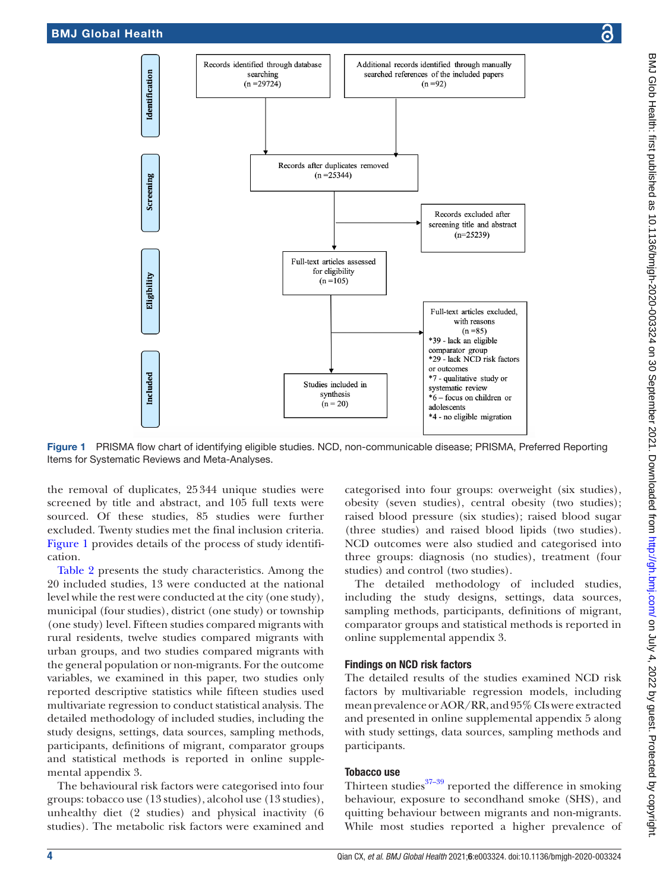



Figure 1 PRISMA flow chart of identifying eligible studies. NCD, non-communicable disease; PRISMA, Preferred Reporting Items for Systematic Reviews and Meta-Analyses.

the removal of duplicates, 25344 unique studies were screened by title and abstract, and 105 full texts were sourced. Of these studies, 85 studies were further excluded. Twenty studies met the final inclusion criteria. [Figure](#page-3-0) 1 provides details of the process of study identification.

[Table](#page-4-0) 2 presents the study characteristics. Among the 20 included studies, 13 were conducted at the national level while the rest were conducted at the city (one study), municipal (four studies), district (one study) or township (one study) level. Fifteen studies compared migrants with rural residents, twelve studies compared migrants with urban groups, and two studies compared migrants with the general population or non-migrants. For the outcome variables, we examined in this paper, two studies only reported descriptive statistics while fifteen studies used multivariate regression to conduct statistical analysis. The detailed methodology of included studies, including the study designs, settings, data sources, sampling methods, participants, definitions of migrant, comparator groups and statistical methods is reported in [online supple](https://dx.doi.org/10.1136/bmjgh-2020-003324)[mental appendix 3](https://dx.doi.org/10.1136/bmjgh-2020-003324).

The behavioural risk factors were categorised into four groups: tobacco use (13 studies), alcohol use (13 studies), unhealthy diet (2 studies) and physical inactivity (6 studies). The metabolic risk factors were examined and

<span id="page-3-0"></span>categorised into four groups: overweight (six studies), obesity (seven studies), central obesity (two studies); raised blood pressure (six studies); raised blood sugar (three studies) and raised blood lipids (two studies). NCD outcomes were also studied and categorised into three groups: diagnosis (no studies), treatment (four studies) and control (two studies).

The detailed methodology of included studies, including the study designs, settings, data sources, sampling methods, participants, definitions of migrant, comparator groups and statistical methods is reported in [online supplemental appendix 3.](https://dx.doi.org/10.1136/bmjgh-2020-003324)

# Findings on NCD risk factors

The detailed results of the studies examined NCD risk factors by multivariable regression models, including mean prevalence or AOR/RR, and 95% CIs were extracted and presented in [online supplemental appendix 5](https://dx.doi.org/10.1136/bmjgh-2020-003324) along with study settings, data sources, sampling methods and participants.

# Tobacco use

Thirteen studies $37-39$  reported the difference in smoking behaviour, exposure to secondhand smoke (SHS), and quitting behaviour between migrants and non-migrants. While most studies reported a higher prevalence of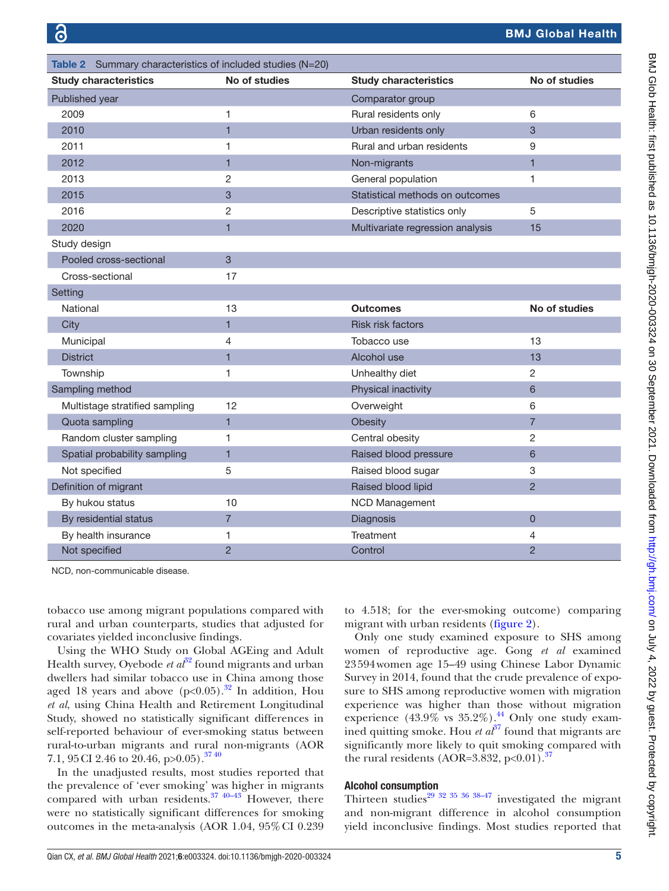<span id="page-4-0"></span>

| Table 2 Summary characteristics of included studies (N=20) |                |                                  |                |  |
|------------------------------------------------------------|----------------|----------------------------------|----------------|--|
| <b>Study characteristics</b>                               | No of studies  | <b>Study characteristics</b>     | No of studies  |  |
| Published year                                             |                | Comparator group                 |                |  |
| 2009                                                       | 1              | Rural residents only             | 6              |  |
| 2010                                                       | $\overline{1}$ | Urban residents only             | 3              |  |
| 2011                                                       | 1              | Rural and urban residents        | 9              |  |
| 2012                                                       | $\blacksquare$ | Non-migrants                     | 1              |  |
| 2013                                                       | $\overline{2}$ | General population               | 1              |  |
| 2015                                                       | 3              | Statistical methods on outcomes  |                |  |
| 2016                                                       | 2              | Descriptive statistics only      | 5              |  |
| 2020                                                       | $\mathbf{1}$   | Multivariate regression analysis | 15             |  |
| Study design                                               |                |                                  |                |  |
| Pooled cross-sectional                                     | 3              |                                  |                |  |
| Cross-sectional                                            | 17             |                                  |                |  |
| Setting                                                    |                |                                  |                |  |
| National                                                   | 13             | <b>Outcomes</b>                  | No of studies  |  |
| City                                                       | 1              | <b>Risk risk factors</b>         |                |  |
| Municipal                                                  | 4              | Tobacco use                      | 13             |  |
| <b>District</b>                                            | $\mathbf{1}$   | Alcohol use                      | 13             |  |
| Township                                                   | 1              | Unhealthy diet                   | 2              |  |
| Sampling method                                            |                | Physical inactivity              | 6              |  |
| Multistage stratified sampling                             | 12             | Overweight                       | 6              |  |
| Quota sampling                                             | $\mathbf{1}$   | Obesity                          | $\overline{7}$ |  |
| Random cluster sampling                                    | 1              | Central obesity                  | $\overline{c}$ |  |
| Spatial probability sampling                               | $\mathbf{1}$   | Raised blood pressure            | 6              |  |
| Not specified                                              | 5              | Raised blood sugar               | 3              |  |
| Definition of migrant                                      |                | Raised blood lipid               | $\overline{2}$ |  |
| By hukou status                                            | 10             | <b>NCD Management</b>            |                |  |
| By residential status                                      | $\overline{7}$ | Diagnosis                        | $\overline{0}$ |  |
| By health insurance                                        | 1              | Treatment                        | 4              |  |
| Not specified                                              | $\overline{2}$ | Control                          | $\overline{2}$ |  |

NCD, non-communicable disease.

tobacco use among migrant populations compared with rural and urban counterparts, studies that adjusted for covariates yielded inconclusive findings.

Using the WHO Study on Global AGEing and Adult Health survey, Oyebode *et*  $a\delta^2$  found migrants and urban dwellers had similar tobacco use in China among those aged 18 years and above  $(p<0.05)$ .<sup>[32](#page-9-20)</sup> In addition, Hou *et al*, using China Health and Retirement Longitudinal Study, showed no statistically significant differences in self-reported behaviour of ever-smoking status between rural-to-urban migrants and rural non-migrants (AOR 7.1, 95 CI 2.46 to 20.46, p>0.05).<sup>[37 40](#page-9-23)</sup>

In the unadjusted results, most studies reported that the prevalence of 'ever smoking' was higher in migrants compared with urban residents. $37 \frac{40-43}{2}$  However, there were no statistically significant differences for smoking outcomes in the meta-analysis (AOR 1.04, 95%CI 0.239

to 4.518; for the ever-smoking outcome) comparing migrant with urban residents ([figure](#page-5-0) 2).

Only one study examined exposure to SHS among women of reproductive age. Gong *et al* examined 23594women age 15–49 using Chinese Labor Dynamic Survey in 2014, found that the crude prevalence of exposure to SHS among reproductive women with migration experience was higher than those without migration experience  $(43.9\% \text{ vs } 35.2\%).$ <sup>[44](#page-10-0)</sup> Only one study examined quitting smoke. Hou *et*  $a<sup>37</sup>$  $a<sup>37</sup>$  $a<sup>37</sup>$  found that migrants are significantly more likely to quit smoking compared with the rural residents (AOR=3.832, p<0.01).<sup>37</sup>

#### Alcohol consumption

Thirteen studies<sup>29 32 35 36 38–47</sup> investigated the migrant and non-migrant difference in alcohol consumption yield inconclusive findings. Most studies reported that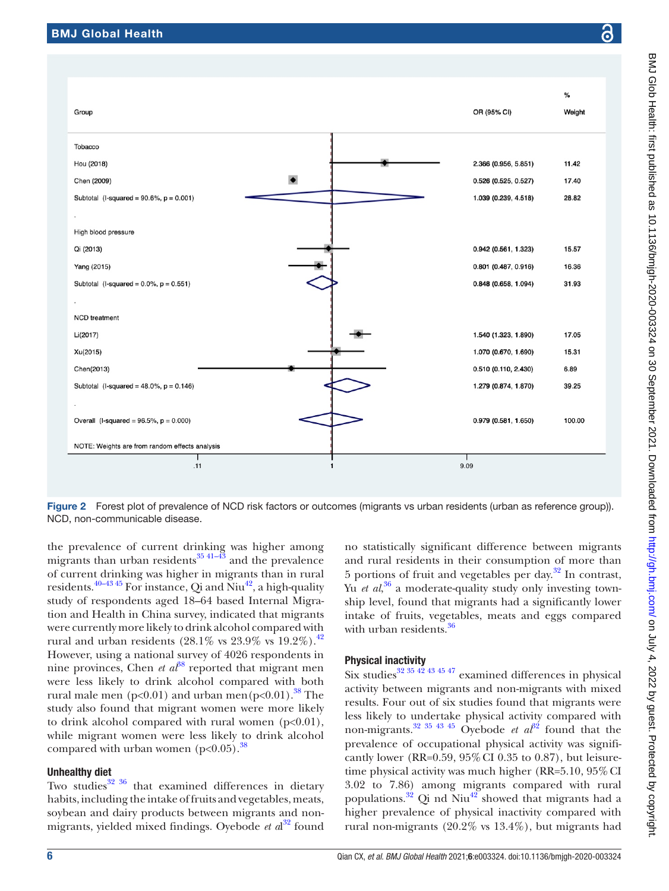

<span id="page-5-0"></span>Figure 2 Forest plot of prevalence of NCD risk factors or outcomes (migrants vs urban residents (urban as reference group)). NCD, non-communicable disease.

the prevalence of current drinking was higher among migrants than urban residents $3541-43$  and the prevalence of current drinking was higher in migrants than in rural residents.<sup>[40–43 45](#page-10-1)</sup> For instance, Qi and Niu<sup>42</sup>, a high-quality study of respondents aged 18–64 based Internal Migration and Health in China survey, indicated that migrants were currently more likely to drink alcohol compared with rural and urban residents (28.1% vs  $23.9\%$  vs  $19.2\%$ ).<sup>[42](#page-10-2)</sup> However, using a national survey of 4026 respondents in nine provinces, Chen *et al*<sup>88</sup> reported that migrant men were less likely to drink alcohol compared with both rural male men (p<0.01) and urban men(p<0.01).<sup>[38](#page-10-3)</sup> The study also found that migrant women were more likely to drink alcohol compared with rural women  $(p<0.01)$ , while migrant women were less likely to drink alcohol compared with urban women  $(p<0.05)$ .<sup>[38](#page-10-3)</sup>

#### Unhealthy diet

Two studies $32 \times 36$  that examined differences in dietary habits, including the intake of fruits and vegetables, meats, soybean and dairy products between migrants and nonmigrants, yielded mixed findings. Oyebode *et a*l [32](#page-9-20) found

no statistically significant difference between migrants and rural residents in their consumption of more than 5 portions of fruit and vegetables per day. $32$  In contrast, Yu *et al*, [36](#page-9-22) a moderate-quality study only investing township level, found that migrants had a significantly lower intake of fruits, vegetables, meats and eggs compared with urban residents.<sup>36</sup>

### Physical inactivity

Six studies<sup>32 35 42 43 45 47</sup> examined differences in physical activity between migrants and non-migrants with mixed results. Four out of six studies found that migrants were less likely to undertake physical activity compared with non-migrants.<sup>[32 35 43 45](#page-9-20)</sup> Oyebode *et al*<sup>32</sup> found that the prevalence of occupational physical activity was significantly lower (RR=0.59, 95%CI 0.35 to 0.87), but leisuretime physical activity was much higher (RR=5.10, 95% CI) 3.02 to 7.86) among migrants compared with rural populations.<sup>32</sup> Qi nd Niu<sup>42</sup> showed that migrants had a higher prevalence of physical inactivity compared with rural non-migrants (20.2% vs 13.4%), but migrants had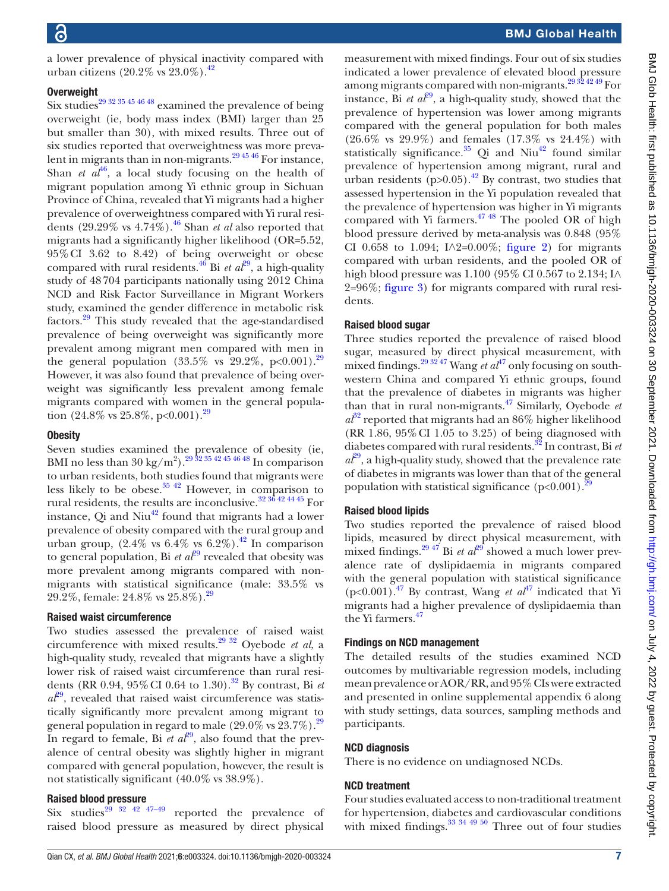a lower prevalence of physical inactivity compared with urban citizens (20.2% vs 23.0%)[.42](#page-10-2)

#### **Overweight**

Six studies<sup>[29 32 35 45 46 48](#page-9-21)</sup> examined the prevalence of being overweight (ie, body mass index (BMI) larger than 25 but smaller than 30), with mixed results. Three out of six studies reported that overweightness was more prevalent in migrants than in non-migrants. $294546$  For instance, Shan *et al*<sup>[46](#page-10-4)</sup>, a local study focusing on the health of migrant population among Yi ethnic group in Sichuan Province of China, revealed that Yi migrants had a higher prevalence of overweightness compared with Yi rural residents  $(29.29\% \text{ vs } 4.74\%).$ <sup>46</sup> Shan *et al* also reported that migrants had a significantly higher likelihood (OR=5.52, 95%CI 3.62 to 8.42) of being overweight or obese compared with rural residents.<sup>46</sup> Bi *et al*<sup>[29](#page-9-21)</sup>, a high-quality study of 48704 participants nationally using 2012 China NCD and Risk Factor Surveillance in Migrant Workers study, examined the gender difference in metabolic risk factors.[29](#page-9-21) This study revealed that the age-standardised prevalence of being overweight was significantly more prevalent among migrant men compared with men in the general population  $(33.5\% \text{ vs } 29.2\%, \text{ p} < 0.001).^{29}$ However, it was also found that prevalence of being overweight was significantly less prevalent among female migrants compared with women in the general popula-tion (24.8% vs 25.8%, p<0.001).<sup>[29](#page-9-21)</sup>

#### **Obesity**

Seven studies examined the prevalence of obesity (ie, BMI no less than  $30 \text{ kg/m}^2$ ).<sup>29</sup>  $32 \frac{3542454648}{911}$  comparison to urban residents, both studies found that migrants were less likely to be obese. $3542$  However, in comparison to rural residents, the results are inconclusive.[32 36 42 44 45](#page-9-20) For instance,  $Q$ i and Niu<sup>42</sup> found that migrants had a lower prevalence of obesity compared with the rural group and urban group,  $(2.4\% \text{ vs } 6.4\% \text{ vs } 6.2\%).$ <sup>42</sup> In comparison to general population, Bi *et al*<sup>[29](#page-9-21)</sup> revealed that obesity was more prevalent among migrants compared with nonmigrants with statistical significance (male: 33.5% vs 29.2%, female:  $24.8\%$  vs  $25.8\%$ ).<sup>29</sup>

#### Raised waist circumference

Two studies assessed the prevalence of raised waist circumference with mixed results[.29 32](#page-9-21) Oyebode *et al*, a high-quality study, revealed that migrants have a slightly lower risk of raised waist circumference than rural residents (RR 0.94, 95% CI 0.64 to 1.30).<sup>32</sup> By contrast, Bi *et*  $a\ell^{9}$ , revealed that raised waist circumference was statistically significantly more prevalent among migrant to general population in regard to male  $(29.0\% \text{ vs } 23.7\%)$  $(29.0\% \text{ vs } 23.7\%)$  $(29.0\% \text{ vs } 23.7\%)$ .<sup>29</sup> In regard to female, Bi *et*  $a\ell^{9}$ , also found that the prevalence of central obesity was slightly higher in migrant compared with general population, however, the result is not statistically significant (40.0% vs 38.9%).

#### Raised blood pressure

Six studies<sup>29 32 42 47–49</sup> reported the prevalence of raised blood pressure as measured by direct physical

measurement with mixed findings. Four out of six studies indicated a lower prevalence of elevated blood pressure among migrants compared with non-migrants.[29 32 42 49](#page-9-21) For instance, Bi *et*  $a\ell^{29}$ , a high-quality study, showed that the prevalence of hypertension was lower among migrants compared with the general population for both males (26.6% vs 29.9%) and females (17.3% vs 24.4%) with statistically significance. $35$  Qi and Niu<sup>42</sup> found similar prevalence of hypertension among migrant, rural and urban residents  $(p>0.05)$ .<sup>42</sup> By contrast, two studies that assessed hypertension in the Yi population revealed that the prevalence of hypertension was higher in Yi migrants compared with Yi farmers. $4748$  The pooled OR of high blood pressure derived by meta-analysis was 0.848 (95% CI 0.658 to 1.094; I∧2=0.00%; [figure](#page-5-0) 2) for migrants compared with urban residents, and the pooled OR of high blood pressure was 1.100 (95% CI 0.567 to 2.134; I∧ 2=96%; [figure](#page-7-0) 3) for migrants compared with rural residents.

#### Raised blood sugar

Three studies reported the prevalence of raised blood sugar, measured by direct physical measurement, with mixed findings.<sup>29 32'47</sup> Wang *et al*<sup>47</sup> only focusing on southwestern China and compared Yi ethnic groups, found that the prevalence of diabetes in migrants was higher than that in rural non-migrants.[47](#page-10-5) Similarly, Oyebode *et*   $a^{32}$  $a^{32}$  $a^{32}$  reported that migrants had an 86% higher likelihood (RR 1.86, 95%CI 1.05 to 3.25) of being diagnosed with diabetes compared with rural residents[.32](#page-9-20) In contrast, Bi *et*   $a^{\mathcal{E}^9}$ , a high-quality study, showed that the prevalence rate of diabetes in migrants was lower than that of the general population with statistical significance  $(p<0.001)$ .<sup>2</sup>

#### Raised blood lipids

Two studies reported the prevalence of raised blood lipids, measured by direct physical measurement, with mixed findings.<sup>[29](#page-9-21).47</sup> Bi *et al*<sup>29</sup> showed a much lower prevalence rate of dyslipidaemia in migrants compared with the general population with statistical significance (p<0.001).<sup>[47](#page-10-5)</sup> By contrast, Wang *et al*<sup>47</sup> indicated that Yi migrants had a higher prevalence of dyslipidaemia than the Yi farmers[.47](#page-10-5)

#### Findings on NCD management

The detailed results of the studies examined NCD outcomes by multivariable regression models, including mean prevalence or AOR/RR, and 95% CIs were extracted and presented in [online supplemental appendix 6](https://dx.doi.org/10.1136/bmjgh-2020-003324) along with study settings, data sources, sampling methods and participants.

#### NCD diagnosis

There is no evidence on undiagnosed NCDs.

#### NCD treatment

Four studies evaluated access to non-traditional treatment for hypertension, diabetes and cardiovascular conditions with mixed findings. $33 \frac{344950}{20}$  Three out of four studies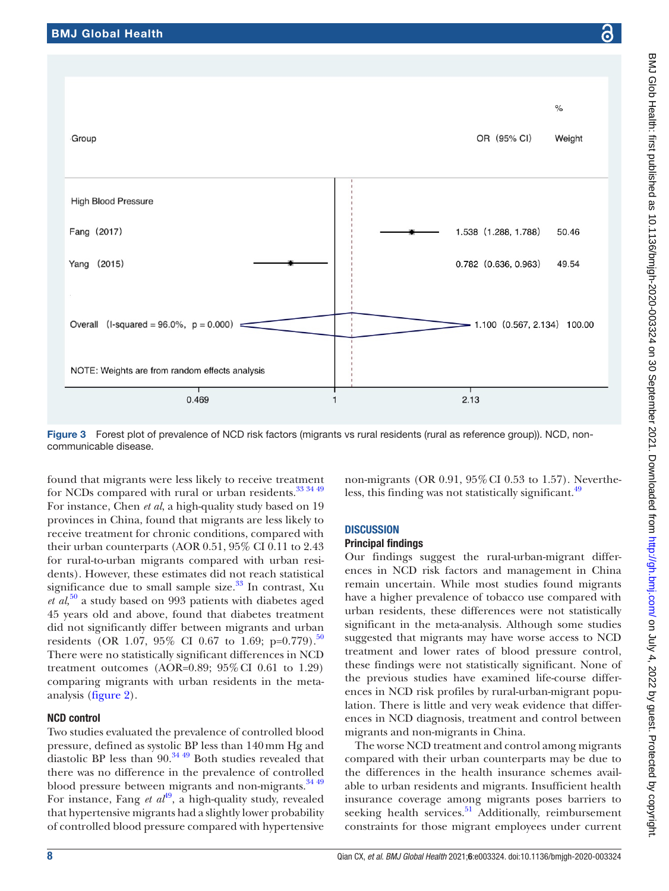**High Blood Pressure** 

Fang (2017)

Yang (2015)

Group

 $\mathsf{o}/\mathsf{e}$ 

Weight

50.46

49.54



<span id="page-7-0"></span>Figure 3 Forest plot of prevalence of NCD risk factors (migrants vs rural residents (rural as reference group)). NCD, noncommunicable disease.

found that migrants were less likely to receive treatment for NCDs compared with rural or urban residents.<sup>[33 34 49](#page-9-25)</sup> For instance, Chen *et al*, a high-quality study based on 19 provinces in China, found that migrants are less likely to receive treatment for chronic conditions, compared with their urban counterparts (AOR 0.51, 95% CI 0.11 to 2.43 for rural-to-urban migrants compared with urban residents). However, these estimates did not reach statistical significance due to small sample size. $33$  In contrast, Xu *et al,*[50](#page-10-6) a study based on 993 patients with diabetes aged 45 years old and above, found that diabetes treatment did not significantly differ between migrants and urban residents (OR 1.07, 95% CI 0.67 to 1.69; p=0.779).<sup>[50](#page-10-6)</sup> There were no statistically significant differences in NCD treatment outcomes (AOR= $0.89$ ;  $95\%$  CI 0.61 to 1.29) comparing migrants with urban residents in the metaanalysis ([figure](#page-5-0) 2).

# NCD control

Two studies evaluated the prevalence of controlled blood pressure, defined as systolic BP less than 140mm Hg and diastolic BP less than  $90.^{34\;49}$  Both studies revealed that there was no difference in the prevalence of controlled blood pressure between migrants and non-migrants. $34\frac{49}{49}$ For instance, Fang *et al*<sup>[49](#page-10-7)</sup>, a high-quality study, revealed that hypertensive migrants had a slightly lower probability of controlled blood pressure compared with hypertensive

non-migrants (OR 0.91, 95%CI 0.53 to 1.57). Nevertheless, this finding was not statistically significant.<sup>49</sup>

# **DISCUSSION**

# Principal findings

Our findings suggest the rural-urban-migrant differences in NCD risk factors and management in China remain uncertain. While most studies found migrants have a higher prevalence of tobacco use compared with urban residents, these differences were not statistically significant in the meta-analysis. Although some studies suggested that migrants may have worse access to NCD treatment and lower rates of blood pressure control, these findings were not statistically significant. None of the previous studies have examined life-course differences in NCD risk profiles by rural-urban-migrant population. There is little and very weak evidence that differences in NCD diagnosis, treatment and control between migrants and non-migrants in China.

The worse NCD treatment and control among migrants compared with their urban counterparts may be due to the differences in the health insurance schemes available to urban residents and migrants. Insufficient health insurance coverage among migrants poses barriers to seeking health services.<sup>51</sup> Additionally, reimbursement constraints for those migrant employees under current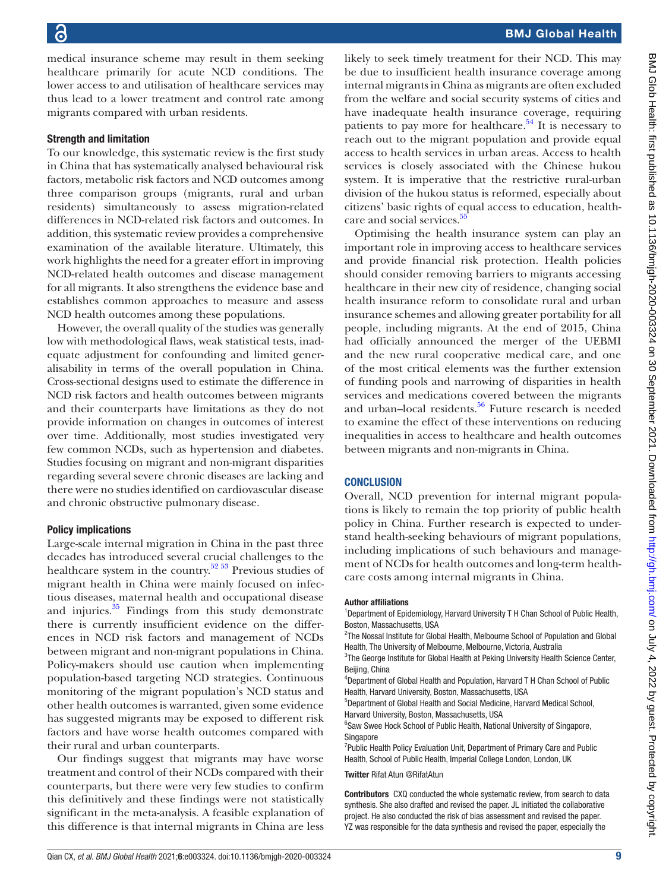medical insurance scheme may result in them seeking healthcare primarily for acute NCD conditions. The lower access to and utilisation of healthcare services may thus lead to a lower treatment and control rate among migrants compared with urban residents.

#### Strength and limitation

To our knowledge, this systematic review is the first study in China that has systematically analysed behavioural risk factors, metabolic risk factors and NCD outcomes among three comparison groups (migrants, rural and urban residents) simultaneously to assess migration-related differences in NCD-related risk factors and outcomes. In addition, this systematic review provides a comprehensive examination of the available literature. Ultimately, this work highlights the need for a greater effort in improving NCD-related health outcomes and disease management for all migrants. It also strengthens the evidence base and establishes common approaches to measure and assess NCD health outcomes among these populations.

However, the overall quality of the studies was generally low with methodological flaws, weak statistical tests, inadequate adjustment for confounding and limited generalisability in terms of the overall population in China. Cross-sectional designs used to estimate the difference in NCD risk factors and health outcomes between migrants and their counterparts have limitations as they do not provide information on changes in outcomes of interest over time. Additionally, most studies investigated very few common NCDs, such as hypertension and diabetes. Studies focusing on migrant and non-migrant disparities regarding several severe chronic diseases are lacking and there were no studies identified on cardiovascular disease and chronic obstructive pulmonary disease.

#### Policy implications

Large-scale internal migration in China in the past three decades has introduced several crucial challenges to the healthcare system in the country.[52 53](#page-10-9) Previous studies of migrant health in China were mainly focused on infectious diseases, maternal health and occupational disease and injuries. $35$  Findings from this study demonstrate there is currently insufficient evidence on the differences in NCD risk factors and management of NCDs between migrant and non-migrant populations in China. Policy-makers should use caution when implementing population-based targeting NCD strategies. Continuous monitoring of the migrant population's NCD status and other health outcomes is warranted, given some evidence has suggested migrants may be exposed to different risk factors and have worse health outcomes compared with their rural and urban counterparts.

Our findings suggest that migrants may have worse treatment and control of their NCDs compared with their counterparts, but there were very few studies to confirm this definitively and these findings were not statistically significant in the meta-analysis. A feasible explanation of this difference is that internal migrants in China are less

likely to seek timely treatment for their NCD. This may be due to insufficient health insurance coverage among internal migrants in China as migrants are often excluded from the welfare and social security systems of cities and have inadequate health insurance coverage, requiring patients to pay more for healthcare.<sup>[54](#page-10-10)</sup> It is necessary to reach out to the migrant population and provide equal access to health services in urban areas. Access to health services is closely associated with the Chinese hukou system. It is imperative that the restrictive rural-urban division of the hukou status is reformed, especially about citizens' basic rights of equal access to education, health-care and social services.<sup>[55](#page-10-11)</sup>

Optimising the health insurance system can play an important role in improving access to healthcare services and provide financial risk protection. Health policies should consider removing barriers to migrants accessing healthcare in their new city of residence, changing social health insurance reform to consolidate rural and urban insurance schemes and allowing greater portability for all people, including migrants. At the end of 2015, China had officially announced the merger of the UEBMI and the new rural cooperative medical care, and one of the most critical elements was the further extension of funding pools and narrowing of disparities in health services and medications covered between the migrants and urban-local residents.<sup>56</sup> Future research is needed to examine the effect of these interventions on reducing inequalities in access to healthcare and health outcomes between migrants and non-migrants in China.

#### **CONCLUSION**

Overall, NCD prevention for internal migrant populations is likely to remain the top priority of public health policy in China. Further research is expected to understand health-seeking behaviours of migrant populations, including implications of such behaviours and management of NCDs for health outcomes and long-term healthcare costs among internal migrants in China.

#### Author affiliations

<sup>1</sup>Department of Epidemiology, Harvard University T H Chan School of Public Health, Boston, Massachusetts, USA

<sup>2</sup>The Nossal Institute for Global Health, Melbourne School of Population and Global Health, The University of Melbourne, Melbourne, Victoria, Australia

<sup>3</sup>The George Institute for Global Health at Peking University Health Science Center, Beijing, China

4 Department of Global Health and Population, Harvard T H Chan School of Public Health, Harvard University, Boston, Massachusetts, USA

5 Department of Global Health and Social Medicine, Harvard Medical School, Harvard University, Boston, Massachusetts, USA

<sup>6</sup>Saw Swee Hock School of Public Health, National University of Singapore, **Singapore** 

<sup>7</sup>Public Health Policy Evaluation Unit, Department of Primary Care and Public Health, School of Public Health, Imperial College London, London, UK

Twitter Rifat Atun [@RifatAtun](https://twitter.com/RifatAtun)

Contributors CXQ conducted the whole systematic review, from search to data synthesis. She also drafted and revised the paper. JL initiated the collaborative project. He also conducted the risk of bias assessment and revised the paper. YZ was responsible for the data synthesis and revised the paper, especially the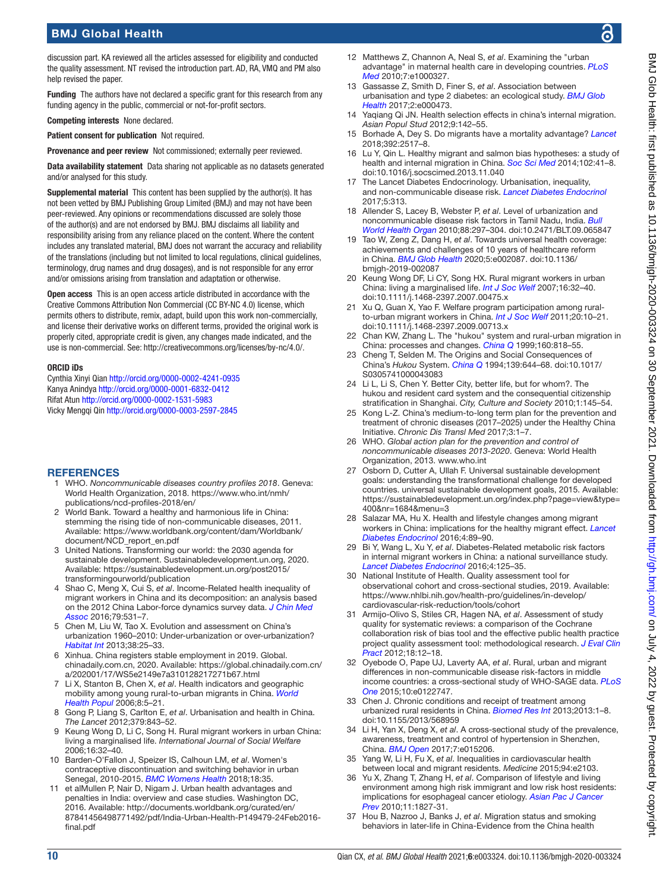discussion part. KA reviewed all the articles assessed for eligibility and conducted the quality assessment. NT revised the introduction part. AD, RA, VMQ and PM also help revised the paper.

Funding The authors have not declared a specific grant for this research from any funding agency in the public, commercial or not-for-profit sectors.

Competing interests None declared.

Patient consent for publication Not required.

Provenance and peer review Not commissioned; externally peer reviewed.

Data availability statement Data sharing not applicable as no datasets generated and/or analysed for this study.

Supplemental material This content has been supplied by the author(s). It has not been vetted by BMJ Publishing Group Limited (BMJ) and may not have been peer-reviewed. Any opinions or recommendations discussed are solely those of the author(s) and are not endorsed by BMJ. BMJ disclaims all liability and responsibility arising from any reliance placed on the content. Where the content includes any translated material, BMJ does not warrant the accuracy and reliability of the translations (including but not limited to local regulations, clinical guidelines, terminology, drug names and drug dosages), and is not responsible for any error and/or omissions arising from translation and adaptation or otherwise.

Open access This is an open access article distributed in accordance with the Creative Commons Attribution Non Commercial (CC BY-NC 4.0) license, which permits others to distribute, remix, adapt, build upon this work non-commercially, and license their derivative works on different terms, provided the original work is properly cited, appropriate credit is given, any changes made indicated, and the use is non-commercial. See:<http://creativecommons.org/licenses/by-nc/4.0/>.

#### ORCID iDs

Cynthia Xinyi Qian<http://orcid.org/0000-0002-4241-0935> Kanya Anindya <http://orcid.org/0000-0001-6832-0412> Rifat Atun<http://orcid.org/0000-0002-1531-5983> Vicky Mengqi Qin<http://orcid.org/0000-0003-2597-2845>

#### **REFERENCES**

- <span id="page-9-0"></span>1 WHO. *Noncommunicable diseases country profiles 2018*. Geneva: World Health Organization, 2018. [https://www.who.int/nmh/](https://www.who.int/nmh/publications/ncd-profiles-2018/en/) [publications/ncd-profiles-2018/en/](https://www.who.int/nmh/publications/ncd-profiles-2018/en/)
- <span id="page-9-1"></span>2 World Bank. Toward a healthy and harmonious life in China: stemming the rising tide of non-communicable diseases, 2011. Available: [https://www.worldbank.org/content/dam/Worldbank/](https://www.worldbank.org/content/dam/Worldbank/document/NCD_report_en.pdf) [document/NCD\\_report\\_en.pdf](https://www.worldbank.org/content/dam/Worldbank/document/NCD_report_en.pdf)
- <span id="page-9-2"></span>3 United Nations. Transforming our world: the 2030 agenda for sustainable development. Sustainabledevelopment.un.org, 2020. Available: [https://sustainabledevelopment.un.org/post2015/](https://sustainabledevelopment.un.org/post2015/transformingourworld/publication) [transformingourworld/publication](https://sustainabledevelopment.un.org/post2015/transformingourworld/publication)
- 4 Shao C, Meng X, Cui S, *et al*. Income-Related health inequality of migrant workers in China and its decomposition: an analysis based on the 2012 China Labor-force dynamics survey data. *[J Chin Med](http://dx.doi.org/10.1016/j.jcma.2016.02.009)  [Assoc](http://dx.doi.org/10.1016/j.jcma.2016.02.009)* 2016;79:531–7.
- <span id="page-9-3"></span>5 Chen M, Liu W, Tao X. Evolution and assessment on China's urbanization 1960–2010: Under-urbanization or over-urbanization? *[Habitat Int](http://dx.doi.org/10.1016/j.habitatint.2012.09.007)* 2013;38:25–33.
- <span id="page-9-4"></span>6 Xinhua. China registers stable employment in 2019. Global. chinadaily.com.cn, 2020. Available: [https://global.chinadaily.com.cn/](https://global.chinadaily.com.cn/a/202001/17/WS5e2149e7a310128217271b67.html) [a/202001/17/WS5e2149e7a310128217271b67.html](https://global.chinadaily.com.cn/a/202001/17/WS5e2149e7a310128217271b67.html)
- <span id="page-9-5"></span>7 Li X, Stanton B, Chen X, *et al*. Health indicators and geographic mobility among young rural-to-urban migrants in China. *[World](http://dx.doi.org/10.12927/whp.2006.18148)  [Health Popul](http://dx.doi.org/10.12927/whp.2006.18148)* 2006;8:5–21.
- <span id="page-9-6"></span>8 Gong P, Liang S, Carlton E, *et al*. Urbanisation and health in China. *The Lancet* 2012;379:843–52.
- 9 Keung Wong D, Li C, Song H. Rural migrant workers in urban China: living a marginalised life. *International Journal of Social Welfare* 2006;16:32–40.
- <span id="page-9-7"></span>10 Barden-O'Fallon J, Speizer IS, Calhoun LM, *et al*. Women's contraceptive discontinuation and switching behavior in urban Senegal, 2010-2015. *[BMC Womens Health](http://dx.doi.org/10.1186/s12905-018-0529-9)* 2018;18:35.
- 11 et alMullen P, Nair D, Nigam J. Urban health advantages and penalties in India: overview and case studies. Washington DC, 2016. Available: [http://documents.worldbank.org/curated/en/](http://documents.worldbank.org/curated/en/87841456498771492/pdf/India-Urban-Health-P149479-24Feb2016-final.pdf) [87841456498771492/pdf/India-Urban-Health-P149479-24Feb2016](http://documents.worldbank.org/curated/en/87841456498771492/pdf/India-Urban-Health-P149479-24Feb2016-final.pdf) [final.pdf](http://documents.worldbank.org/curated/en/87841456498771492/pdf/India-Urban-Health-P149479-24Feb2016-final.pdf)
- <span id="page-9-8"></span>12 Matthews Z, Channon A, Neal S, *et al*. Examining the "urban advantage" in maternal health care in developing countries. *[PLoS](http://dx.doi.org/10.1371/journal.pmed.1000327)  [Med](http://dx.doi.org/10.1371/journal.pmed.1000327)* 2010;7:e1000327.
- 13 Gassasse Z, Smith D, Finer S, *et al*. Association between urbanisation and type 2 diabetes: an ecological study. *[BMJ Glob](http://dx.doi.org/10.1136/bmjgh-2017-000473)  [Health](http://dx.doi.org/10.1136/bmjgh-2017-000473)* 2017;2:e000473.
- <span id="page-9-9"></span>14 Yaqiang Qi JN. Health selection effects in china's internal migration. *Asian Popul Stud* 2012;9:142–55.
- 15 Borhade A, Dey S. Do migrants have a mortality advantage? *[Lancet](http://dx.doi.org/10.1016/S0140-6736(18)33052-6)* 2018;392:2517–8.
- 16 Lu Y, Qin L. Healthy migrant and salmon bias hypotheses: a study of health and internal migration in China. *[Soc Sci Med](http://dx.doi.org/10.1016/j.socscimed.2013.11.040)* 2014;102:41–8. doi:10.1016/j.socscimed.2013.11.040
- <span id="page-9-10"></span>17 The Lancet Diabetes Endocrinology. Urbanisation, inequality, and non-communicable disease risk. *[Lancet Diabetes Endocrinol](http://dx.doi.org/10.1016/S2213-8587(17)30116-X)* 2017;5:313.
- 18 Allender S, Lacey B, Webster P, *et al*. Level of urbanization and noncommunicable disease risk factors in Tamil Nadu, India. *[Bull](http://dx.doi.org/10.2471/BLT.09.065847)  [World Health Organ](http://dx.doi.org/10.2471/BLT.09.065847)* 2010;88:297–304. doi:10.2471/BLT.09.065847
- <span id="page-9-11"></span>19 Tao W, Zeng Z, Dang H, *et al*. Towards universal health coverage: achievements and challenges of 10 years of healthcare reform in China. *[BMJ Glob Health](http://dx.doi.org/10.1136/bmjgh-2019-002087)* 2020;5:e002087. doi:10.1136/ bmjgh-2019-002087
- <span id="page-9-12"></span>20 Keung Wong DF, Li CY, Song HX. Rural migrant workers in urban China: living a marginalised life. *[Int J Soc Welf](http://dx.doi.org/10.1111/j.1468-2397.2007.00475.x)* 2007;16:32–40. doi:10.1111/j.1468-2397.2007.00475.x
- 21 Xu Q, Guan X, Yao F. Welfare program participation among ruralto-urban migrant workers in China. *[Int J Soc Welf](http://dx.doi.org/10.1111/j.1468-2397.2009.00713.x)* 2011;20:10–21. doi:10.1111/j.1468-2397.2009.00713.x
- <span id="page-9-13"></span>22 Chan KW, Zhang L. The "hukou" system and rural-urban migration in China: processes and changes. *[China Q](http://dx.doi.org/10.1017/s0305741000001351)* 1999;160:818–55.
- <span id="page-9-14"></span>23 Cheng T, Selden M. The Origins and Social Consequences of China's *Hukou* System. *[China Q](http://dx.doi.org/10.1017/S0305741000043083)* 1994;139:644–68. doi:10.1017/ S0305741000043083
- 24 Li L, Li S, Chen Y. Better City, better life, but for whom?. The hukou and resident card system and the consequential citizenship stratification in Shanghai. *City, Culture and Society* 2010;1:145–54.
- <span id="page-9-15"></span>25 Kong L-Z. China's medium-to-long term plan for the prevention and treatment of chronic diseases (2017–2025) under the Healthy China Initiative. *Chronic Dis Transl Med* 2017;3:1–7.
- 26 WHO. *Global action plan for the prevention and control of noncommunicable diseases 2013-2020*. Geneva: World Health Organization, 2013.<www.who.int>
- <span id="page-9-16"></span>27 Osborn D, Cutter A, Ullah F. Universal sustainable development goals: understanding the transformational challenge for developed countries. universal sustainable development goals, 2015. Available: [https://sustainabledevelopment.un.org/index.php?page=view&type=](https://sustainabledevelopment.un.org/index.php?page=view&type=400&nr=1684&menu=3) [400&nr=1684&menu=3](https://sustainabledevelopment.un.org/index.php?page=view&type=400&nr=1684&menu=3)
- <span id="page-9-17"></span>28 Salazar MA, Hu X. Health and lifestyle changes among migrant workers in China: implications for the healthy migrant effect. *[Lancet](http://dx.doi.org/10.1016/S2213-8587(15)00438-6)  [Diabetes Endocrinol](http://dx.doi.org/10.1016/S2213-8587(15)00438-6)* 2016;4:89–90.
- <span id="page-9-21"></span>29 Bi Y, Wang L, Xu Y, *et al*. Diabetes-Related metabolic risk factors in internal migrant workers in China: a national surveillance study. *[Lancet Diabetes Endocrinol](http://dx.doi.org/10.1016/S2213-8587(15)00366-6)* 2016;4:125–35.
- <span id="page-9-18"></span>30 National Institute of Health. Quality assessment tool for observational cohort and cross-sectional studies, 2019. Available: [https://www.nhlbi.nih.gov/health-pro/guidelines/in-develop/](https://www.nhlbi.nih.gov/health-pro/guidelines/in-develop/cardiovascular-risk-reduction/tools/cohort) [cardiovascular-risk-reduction/tools/cohort](https://www.nhlbi.nih.gov/health-pro/guidelines/in-develop/cardiovascular-risk-reduction/tools/cohort)
- <span id="page-9-19"></span>31 Armijo-Olivo S, Stiles CR, Hagen NA, *et al*. Assessment of study quality for systematic reviews: a comparison of the Cochrane collaboration risk of bias tool and the effective public health practice project quality assessment tool: methodological research. *[J Eval Clin](http://dx.doi.org/10.1111/j.1365-2753.2010.01516.x)  [Pract](http://dx.doi.org/10.1111/j.1365-2753.2010.01516.x)* 2012;18:12–18.
- <span id="page-9-20"></span>32 Oyebode O, Pape UJ, Laverty AA, *et al*. Rural, urban and migrant differences in non-communicable disease risk-factors in middle income countries: a cross-sectional study of WHO-SAGE data. *[PLoS](http://dx.doi.org/10.1371/journal.pone.0122747) [One](http://dx.doi.org/10.1371/journal.pone.0122747)* 2015;10:e0122747.
- <span id="page-9-25"></span>33 Chen J. Chronic conditions and receipt of treatment among urbanized rural residents in China. *[Biomed Res Int](http://dx.doi.org/10.1155/2013/568959)* 2013;2013:1–8. doi:10.1155/2013/568959
- <span id="page-9-26"></span>34 Li H, Yan X, Deng X, *et al*. A cross-sectional study of the prevalence, awareness, treatment and control of hypertension in Shenzhen, China. *[BMJ Open](http://dx.doi.org/10.1136/bmjopen-2016-015206)* 2017;7:e015206.
- <span id="page-9-24"></span>35 Yang W, Li H, Fu X, *et al*. Inequalities in cardiovascular health between local and migrant residents. *Medicine* 2015;94:e2103.
- <span id="page-9-22"></span>36 Yu X, Zhang T, Zhang H, *et al*. Comparison of lifestyle and living environment among high risk immigrant and low risk host residents: implications for esophageal cancer etiology. *[Asian Pac J Cancer](http://www.ncbi.nlm.nih.gov/pubmed/21338241)  [Prev](http://www.ncbi.nlm.nih.gov/pubmed/21338241)* 2010;11:1827-31.
- <span id="page-9-23"></span>37 Hou B, Nazroo J, Banks J, *et al*. Migration status and smoking behaviors in later-life in China-Evidence from the China health